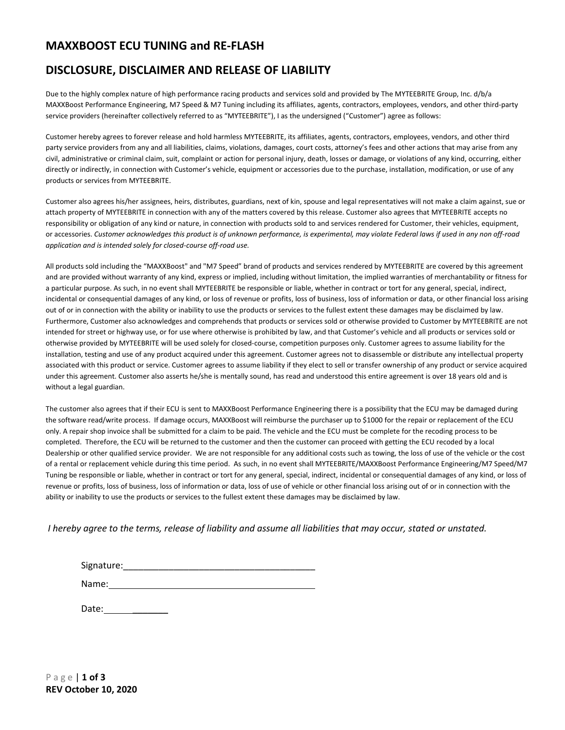# **MAXXBOOST ECU TUNING and RE-FLASH**

# **DISCLOSURE, DISCLAIMER AND RELEASE OF LIABILITY**

Due to the highly complex nature of high performance racing products and services sold and provided by The MYTEEBRITE Group, Inc. d/b/a MAXXBoost Performance Engineering, M7 Speed & M7 Tuning including its affiliates, agents, contractors, employees, vendors, and other third-party service providers (hereinafter collectively referred to as "MYTEEBRITE"), I as the undersigned ("Customer") agree as follows:

Customer hereby agrees to forever release and hold harmless MYTEEBRITE, its affiliates, agents, contractors, employees, vendors, and other third party service providers from any and all liabilities, claims, violations, damages, court costs, attorney's fees and other actions that may arise from any civil, administrative or criminal claim, suit, complaint or action for personal injury, death, losses or damage, or violations of any kind, occurring, either directly or indirectly, in connection with Customer's vehicle, equipment or accessories due to the purchase, installation, modification, or use of any products or services from MYTEEBRITE.

Customer also agrees his/her assignees, heirs, distributes, guardians, next of kin, spouse and legal representatives will not make a claim against, sue or attach property of MYTEEBRITE in connection with any of the matters covered by this release. Customer also agrees that MYTEEBRITE accepts no responsibility or obligation of any kind or nature, in connection with products sold to and services rendered for Customer, their vehicles, equipment, or accessories. *Customer acknowledges this product is of unknown performance, is experimental, may violate Federal laws if used in any non off-road application and is intended solely for closed-course off-road use.*

All products sold including the "MAXXBoost" and "M7 Speed" brand of products and services rendered by MYTEEBRITE are covered by this agreement and are provided without warranty of any kind, express or implied, including without limitation, the implied warranties of merchantability or fitness for a particular purpose. As such, in no event shall MYTEEBRITE be responsible or liable, whether in contract or tort for any general, special, indirect, incidental or consequential damages of any kind, or loss of revenue or profits, loss of business, loss of information or data, or other financial loss arising out of or in connection with the ability or inability to use the products or services to the fullest extent these damages may be disclaimed by law. Furthermore, Customer also acknowledges and comprehends that products or services sold or otherwise provided to Customer by MYTEEBRITE are not intended for street or highway use, or for use where otherwise is prohibited by law, and that Customer's vehicle and all products or services sold or otherwise provided by MYTEEBRITE will be used solely for closed-course, competition purposes only. Customer agrees to assume liability for the installation, testing and use of any product acquired under this agreement. Customer agrees not to disassemble or distribute any intellectual property associated with this product or service. Customer agrees to assume liability if they elect to sell or transfer ownership of any product or service acquired under this agreement. Customer also asserts he/she is mentally sound, has read and understood this entire agreement is over 18 years old and is without a legal guardian.

The customer also agrees that if their ECU is sent to MAXXBoost Performance Engineering there is a possibility that the ECU may be damaged during the software read/write process. If damage occurs, MAXXBoost will reimburse the purchaser up to \$1000 for the repair or replacement of the ECU only. A repair shop invoice shall be submitted for a claim to be paid. The vehicle and the ECU must be complete for the recoding process to be completed. Therefore, the ECU will be returned to the customer and then the customer can proceed with getting the ECU recoded by a local Dealership or other qualified service provider. We are not responsible for any additional costs such as towing, the loss of use of the vehicle or the cost of a rental or replacement vehicle during this time period. As such, in no event shall MYTEEBRITE/MAXXBoost Performance Engineering/M7 Speed/M7 Tuning be responsible or liable, whether in contract or tort for any general, special, indirect, incidental or consequential damages of any kind, or loss of revenue or profits, loss of business, loss of information or data, loss of use of vehicle or other financial loss arising out of or in connection with the ability or inability to use the products or services to the fullest extent these damages may be disclaimed by law.

*I hereby agree to the terms, release of liability and assume all liabilities that may occur, stated or unstated.*

Signature:\_\_\_\_\_\_\_\_\_\_\_\_\_\_\_\_\_\_\_\_\_\_\_\_\_\_\_\_\_\_\_\_\_\_\_\_\_\_

Name:

Date:  $\blacksquare$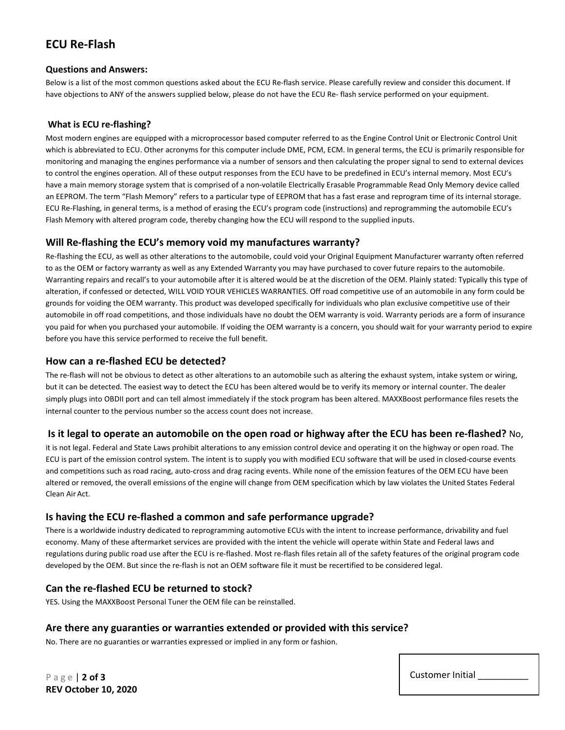# **ECU Re-Flash**

#### **Questions and Answers:**

Below is a list of the most common questions asked about the ECU Re-flash service. Please carefully review and consider this document. If have objections to ANY of the answers supplied below, please do not have the ECU Re- flash service performed on your equipment.

### **What is ECU re-flashing?**

Most modern engines are equipped with a microprocessor based computer referred to as the Engine Control Unit or Electronic Control Unit which is abbreviated to ECU. Other acronyms for this computer include DME, PCM, ECM. In general terms, the ECU is primarily responsible for monitoring and managing the engines performance via a number of sensors and then calculating the proper signal to send to external devices to control the engines operation. All of these output responses from the ECU have to be predefined in ECU's internal memory. Most ECU's have a main memory storage system that is comprised of a non-volatile Electrically Erasable Programmable Read Only Memory device called an EEPROM. The term "Flash Memory" refers to a particular type of EEPROM that has a fast erase and reprogram time of its internal storage. ECU Re-Flashing, in general terms, is a method of erasing the ECU's program code (instructions) and reprogramming the automobile ECU's Flash Memory with altered program code, thereby changing how the ECU will respond to the supplied inputs.

### **Will Re-flashing the ECU's memory void my manufactures warranty?**

Re-flashing the ECU, as well as other alterations to the automobile, could void your Original Equipment Manufacturer warranty often referred to as the OEM or factory warranty as well as any Extended Warranty you may have purchased to cover future repairs to the automobile. Warranting repairs and recall's to your automobile after it is altered would be at the discretion of the OEM. Plainly stated: Typically this type of alteration, if confessed or detected, WILL VOID YOUR VEHICLES WARRANTIES. Off road competitive use of an automobile in any form could be grounds for voiding the OEM warranty. This product was developed specifically for individuals who plan exclusive competitive use of their automobile in off road competitions, and those individuals have no doubt the OEM warranty is void. Warranty periods are a form of insurance you paid for when you purchased your automobile. If voiding the OEM warranty is a concern, you should wait for your warranty period to expire before you have this service performed to receive the full benefit.

### **How can a re-flashed ECU be detected?**

The re-flash will not be obvious to detect as other alterations to an automobile such as altering the exhaust system, intake system or wiring, but it can be detected. The easiest way to detect the ECU has been altered would be to verify its memory or internal counter. The dealer simply plugs into OBDII port and can tell almost immediately if the stock program has been altered. MAXXBoost performance files resets the internal counter to the pervious number so the access count does not increase.

### **Is it legal to operate an automobile on the open road or highway after the ECU has been re-flashed?** No,

it is not legal. Federal and State Laws prohibit alterations to any emission control device and operating it on the highway or open road. The ECU is part of the emission control system. The intent is to supply you with modified ECU software that will be used in closed-course events and competitions such as road racing, auto-cross and drag racing events. While none of the emission features of the OEM ECU have been altered or removed, the overall emissions of the engine will change from OEM specification which by law violates the United States Federal Clean Air Act.

### **Is having the ECU re-flashed a common and safe performance upgrade?**

There is a worldwide industry dedicated to reprogramming automotive ECUs with the intent to increase performance, drivability and fuel economy. Many of these aftermarket services are provided with the intent the vehicle will operate within State and Federal laws and regulations during public road use after the ECU is re-flashed. Most re-flash files retain all of the safety features of the original program code developed by the OEM. But since the re-flash is not an OEM software file it must be recertified to be considered legal.

## **Can the re-flashed ECU be returned to stock?**

YES. Using the MAXXBoost Personal Tuner the OEM file can be reinstalled.

### **Are there any guaranties or warranties extended or provided with this service?**

No. There are no guaranties or warranties expressed or implied in any form or fashion.

P a g e | **2 of 3 REV October 10, 2020**

| Customer Initial |
|------------------|